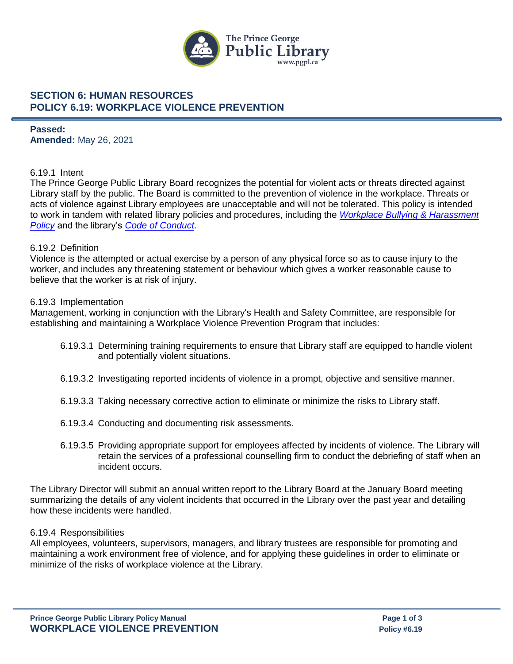

### **SECTION 6: HUMAN RESOURCES POLICY 6.19: WORKPLACE VIOLENCE PREVENTION**

**Passed: Amended:** May 26, 2021

### 6.19.1 Intent

The Prince George Public Library Board recognizes the potential for violent acts or threats directed against Library staff by the public. The Board is committed to the prevention of violence in the workplace. Threats or acts of violence against Library employees are unacceptable and will not be tolerated. This policy is intended to work in tandem with related library policies and procedures, including the *[Workplace Bullying & Harassment](https://www.pgpl.ca/sites/default/files/policy/6.20%20Workplace%20Bullying%20and%20Harassment.pdf)  [Policy](https://www.pgpl.ca/sites/default/files/policy/6.20%20Workplace%20Bullying%20and%20Harassment.pdf)* and the library's *[Code of Conduct](https://www.pgpl.ca/sites/default/files/documents/code_of_conduct.pdf)*.

### 6.19.2 Definition

Violence is the attempted or actual exercise by a person of any physical force so as to cause injury to the worker, and includes any threatening statement or behaviour which gives a worker reasonable cause to believe that the worker is at risk of injury.

#### 6.19.3 Implementation

Management, working in conjunction with the Library's Health and Safety Committee, are responsible for establishing and maintaining a Workplace Violence Prevention Program that includes:

- 6.19.3.1 Determining training requirements to ensure that Library staff are equipped to handle violent and potentially violent situations.
- 6.19.3.2 Investigating reported incidents of violence in a prompt, objective and sensitive manner.
- 6.19.3.3 Taking necessary corrective action to eliminate or minimize the risks to Library staff.
- 6.19.3.4 Conducting and documenting risk assessments.
- 6.19.3.5 Providing appropriate support for employees affected by incidents of violence. The Library will retain the services of a professional counselling firm to conduct the debriefing of staff when an incident occurs.

The Library Director will submit an annual written report to the Library Board at the January Board meeting summarizing the details of any violent incidents that occurred in the Library over the past year and detailing how these incidents were handled.

#### 6.19.4 Responsibilities

All employees, volunteers, supervisors, managers, and library trustees are responsible for promoting and maintaining a work environment free of violence, and for applying these guidelines in order to eliminate or minimize of the risks of workplace violence at the Library.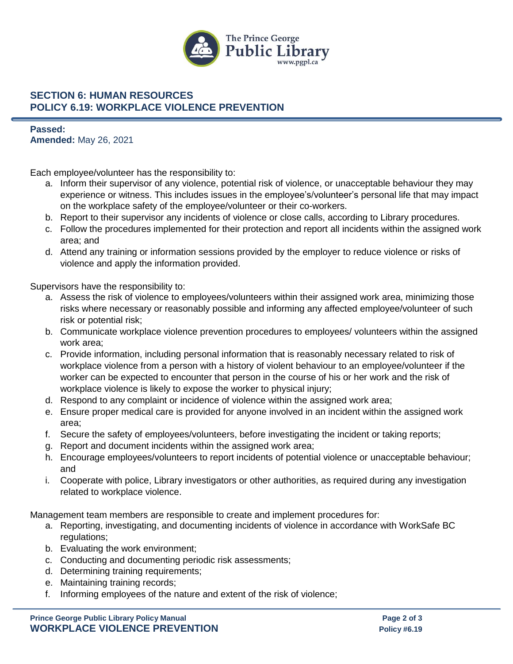

# **SECTION 6: HUMAN RESOURCES POLICY 6.19: WORKPLACE VIOLENCE PREVENTION**

**Passed: Amended:** May 26, 2021

Each employee/volunteer has the responsibility to:

- a. Inform their supervisor of any violence, potential risk of violence, or unacceptable behaviour they may experience or witness. This includes issues in the employee's/volunteer's personal life that may impact on the workplace safety of the employee/volunteer or their co-workers.
- b. Report to their supervisor any incidents of violence or close calls, according to Library procedures.
- c. Follow the procedures implemented for their protection and report all incidents within the assigned work area; and
- d. Attend any training or information sessions provided by the employer to reduce violence or risks of violence and apply the information provided.

Supervisors have the responsibility to:

- a. Assess the risk of violence to employees/volunteers within their assigned work area, minimizing those risks where necessary or reasonably possible and informing any affected employee/volunteer of such risk or potential risk;
- b. Communicate workplace violence prevention procedures to employees/ volunteers within the assigned work area;
- c. Provide information, including personal information that is reasonably necessary related to risk of workplace violence from a person with a history of violent behaviour to an employee/volunteer if the worker can be expected to encounter that person in the course of his or her work and the risk of workplace violence is likely to expose the worker to physical injury;
- d. Respond to any complaint or incidence of violence within the assigned work area;
- e. Ensure proper medical care is provided for anyone involved in an incident within the assigned work area;
- f. Secure the safety of employees/volunteers, before investigating the incident or taking reports;
- g. Report and document incidents within the assigned work area;
- h. Encourage employees/volunteers to report incidents of potential violence or unacceptable behaviour; and
- i. Cooperate with police, Library investigators or other authorities, as required during any investigation related to workplace violence.

Management team members are responsible to create and implement procedures for:

- a. Reporting, investigating, and documenting incidents of violence in accordance with WorkSafe BC regulations;
- b. Evaluating the work environment;
- c. Conducting and documenting periodic risk assessments;
- d. Determining training requirements;
- e. Maintaining training records;
- f. Informing employees of the nature and extent of the risk of violence;